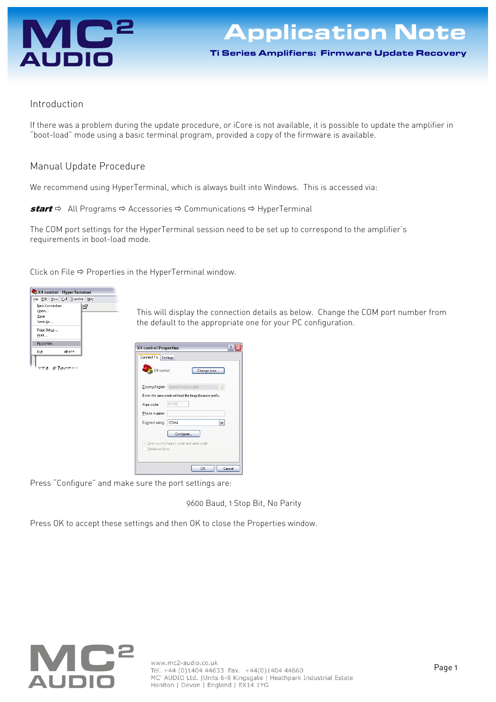

## Introduction

If there was a problem during the update procedure, or iCore is not available, it is possible to update the amplifier in "boot-load" mode using a basic terminal program, provided a copy of the firmware is available.

## Manual Update Procedure

We recommend using HyperTerminal, which is always built into Windows. This is accessed via:

**start**  $\Rightarrow$  All Programs  $\Rightarrow$  Accessories  $\Rightarrow$  Communications  $\Rightarrow$  HyperTerminal

The COM port settings for the HyperTerminal session need to be set up to correspond to the amplifier's requirements in boot-load mode.

Click on File  $\Leftrightarrow$  Properties in the HyperTerminal window.



This will display the connection details as below. Change the COM port number from the default to the appropriate one for your PC configuration.



Press "Configure" and make sure the port settings are:

9600 Baud, 1 Stop Bit, No Parity

Press OK to accept these settings and then OK to close the Properties window.

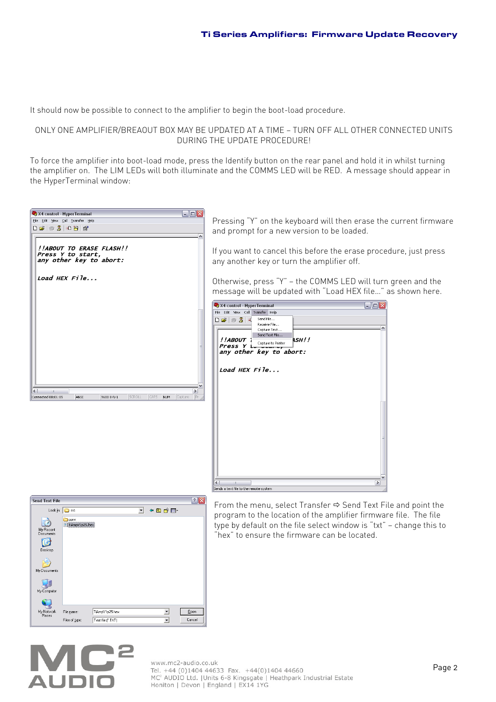It should now be possible to connect to the amplifier to begin the boot-load procedure.

## ONLY ONE AMPLIFIER/BREAOUT BOX MAY BE UPDATED AT A TIME — TURN OFF ALL OTHER CONNECTED UNITS DURING THE UPDATE PROCEDURE!

To force the amplifier into boot-load mode, press the Identify button on the rear panel and hold it in whilst turning the amplifier on. The LIM LEDs will both illuminate and the COMMS LED will be RED. A message should appear in the HyperTerminal window:

| X4 control - HyperTerminal                                               |  |  |  | $\Box$ e $\times$ |
|--------------------------------------------------------------------------|--|--|--|-------------------|
| File Edit View Call Transfer Help                                        |  |  |  |                   |
| <b>De e 3 Db 6</b>                                                       |  |  |  | ۸                 |
| !!ABOUT TO ERASE FLASH!!<br>Press Y to start,<br>any other key to abort: |  |  |  |                   |
| Load HEX File                                                            |  |  |  |                   |
|                                                                          |  |  |  |                   |
|                                                                          |  |  |  |                   |
|                                                                          |  |  |  |                   |
|                                                                          |  |  |  |                   |
|                                                                          |  |  |  |                   |
|                                                                          |  |  |  |                   |
|                                                                          |  |  |  | ≣                 |
|                                                                          |  |  |  |                   |
|                                                                          |  |  |  |                   |
|                                                                          |  |  |  |                   |
| ∢<br>Ш                                                                   |  |  |  | $\rightarrow$     |
|                                                                          |  |  |  |                   |

Pressing "Y" on the keyboard will then erase the current firmware and prompt for a new version to be loaded.

If you want to cancel this before the erase procedure, just press any another key or turn the amplifier off.

Otherwise, press "Y" — the COMMS LED will turn green and the message will be updated with "Load HEX file…" as shown here.

|                                                              | X4 control - HyperTerminal                                  | $   $ $  $ $\times$ |
|--------------------------------------------------------------|-------------------------------------------------------------|---------------------|
| File Edit View Call                                          | Transfer Help                                               |                     |
| $\Box$ $\cong$ $\parallel$ $\otimes$ $\parallel$ $\parallel$ | Send File<br>Receive File<br>Capture Text<br>Send Text File |                     |
| !!ABOUT 1<br>Press Y i                                       | <b>ASH!!</b><br>Capture to Printer                          |                     |
|                                                              | any other key to abort:                                     |                     |
|                                                              |                                                             |                     |
| Load HEX File                                                |                                                             |                     |
|                                                              |                                                             |                     |
|                                                              |                                                             |                     |
|                                                              |                                                             |                     |
|                                                              |                                                             |                     |
|                                                              |                                                             |                     |
|                                                              |                                                             |                     |
|                                                              |                                                             |                     |
|                                                              |                                                             |                     |
|                                                              |                                                             |                     |
|                                                              |                                                             |                     |
|                                                              |                                                             |                     |
|                                                              |                                                             |                     |
|                                                              |                                                             |                     |
|                                                              |                                                             |                     |
|                                                              |                                                             |                     |

| <b>Send Text File</b>   |                                 |                   |                          |        | $\left  \cdot \right $ |
|-------------------------|---------------------------------|-------------------|--------------------------|--------|------------------------|
|                         | Look in: $\boxed{\bigcirc}$ src |                   | $\overline{\phantom{a}}$ | ← 白び囲~ |                        |
| My Recent<br>Documents  | conv<br>TiAmpV1p25.hex          |                   |                          |        |                        |
| Desktop<br>My Documents |                                 |                   |                          |        |                        |
| My Computer             |                                 |                   |                          |        |                        |
| My Network              | File name:                      | TiAmpV1p25.hex    |                          |        | Open                   |
| Places                  | Files of type:                  | Text file (".TXT) |                          | ▼      | Cancel                 |

From the menu, select Transfer  $\Rightarrow$  Send Text File and point the program to the location of the amplifier firmware file. The file type by default on the file select window is "txt" — change this to "hex" to ensure the firmware can be located.

## **AUDIO**

WWW.mc2-audio.co.uk<br>Tel. +44 (0)1404 44633 Fax. +44(0)1404 44660<br>MC<sup>2</sup> AUDIO Ltd. |Units 6-8 Kingsgate | Heathpark Industrial Estate Honiton | Devon | England | EX14 1YG